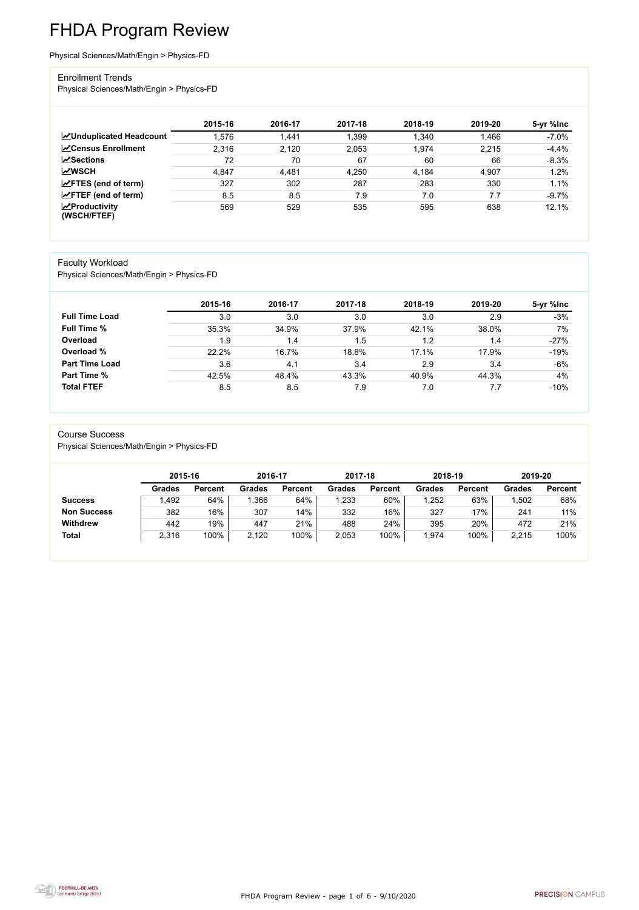FHDA Program Review - page 1 of 6 - 9/10/2020



# FHDA Program Review

Physical Sciences/Math/Engin > Physics-FD

### Enrollment Trends

Physical Sciences/Math/Engin > Physics-FD

|                                                  | 2015-16 | 2016-17 | 2017-18 | 2018-19 | 2019-20 | 5-yr %Inc |
|--------------------------------------------------|---------|---------|---------|---------|---------|-----------|
| <b>ZUnduplicated Headcount</b>                   | .576    | 1,441   | 1,399   | 1,340   | 1,466   | $-7.0%$   |
| <b>ZCensus Enrollment</b>                        | 2,316   | 2,120   | 2,053   | 1,974   | 2,215   | $-4.4%$   |
| <b>ZSections</b>                                 | 72      | 70      | 67      | 60      | 66      | $-8.3%$   |
| <b>MWSCH</b>                                     | 4,847   | 4,481   | 4,250   | 4,184   | 4,907   | 1.2%      |
| $\angle$ FTES (end of term)                      | 327     | 302     | 287     | 283     | 330     | 1.1%      |
| $\angle$ FTEF (end of term)                      | 8.5     | 8.5     | 7.9     | 7.0     | 7.7     | $-9.7%$   |
| $\sqrt{\frac{1}{2}}$ Productivity<br>(WSCH/FTEF) | 569     | 529     | 535     | 595     | 638     | 12.1%     |

#### Faculty Workload

Physical Sciences/Math/Engin > Physics-FD

|                       | 2015-16 | 2016-17 | 2017-18 | 2018-19 | 2019-20 | 5-yr %lnc |
|-----------------------|---------|---------|---------|---------|---------|-----------|
| <b>Full Time Load</b> | 3.0     | 3.0     | 3.0     | 3.0     | 2.9     | $-3%$     |
| <b>Full Time %</b>    | 35.3%   | 34.9%   | 37.9%   | 42.1%   | 38.0%   | 7%        |
| Overload              | 1.9     | 1.4     | 1.5     | 1.2     | 1.4     | $-27%$    |
| Overload %            | 22.2%   | 16.7%   | 18.8%   | 17.1%   | 17.9%   | $-19%$    |
| <b>Part Time Load</b> | 3.6     | 4.1     | 3.4     | 2.9     | 3.4     | $-6%$     |
| <b>Part Time %</b>    | 42.5%   | 48.4%   | 43.3%   | 40.9%   | 44.3%   | 4%        |
| <b>Total FTEF</b>     | 8.5     | 8.5     | 7.9     | 7.0     | 7.7     | $-10%$    |

#### Course Success

Physical Sciences/Math/Engin > Physics-FD

|                    | 2015-16       |                | 2016-17 |                | 2017-18       |                | 2018-19       |                | 2019-20       |                |
|--------------------|---------------|----------------|---------|----------------|---------------|----------------|---------------|----------------|---------------|----------------|
|                    | <b>Grades</b> | <b>Percent</b> | Grades  | <b>Percent</b> | <b>Grades</b> | <b>Percent</b> | <b>Grades</b> | <b>Percent</b> | <b>Grades</b> | <b>Percent</b> |
| <b>Success</b>     | .492          | 64%            | ,366    | 64%            | ,233          | 60%            | 1,252         | 63%            | 1,502         | 68%            |
| <b>Non Success</b> | 382           | 16%            | 307     | 14%            | 332           | 16%            | 327           | 17%            | 241           | 11%            |
| <b>Withdrew</b>    | 442           | 19%            | 447     | 21%            | 488           | 24%            | 395           | 20%            | 472           | 21%            |
| <b>Total</b>       | 2,316         | 100%           | 2,120   | 100%           | 2,053         | 100%           | 1,974         | 100%           | 2,215         | 100%           |

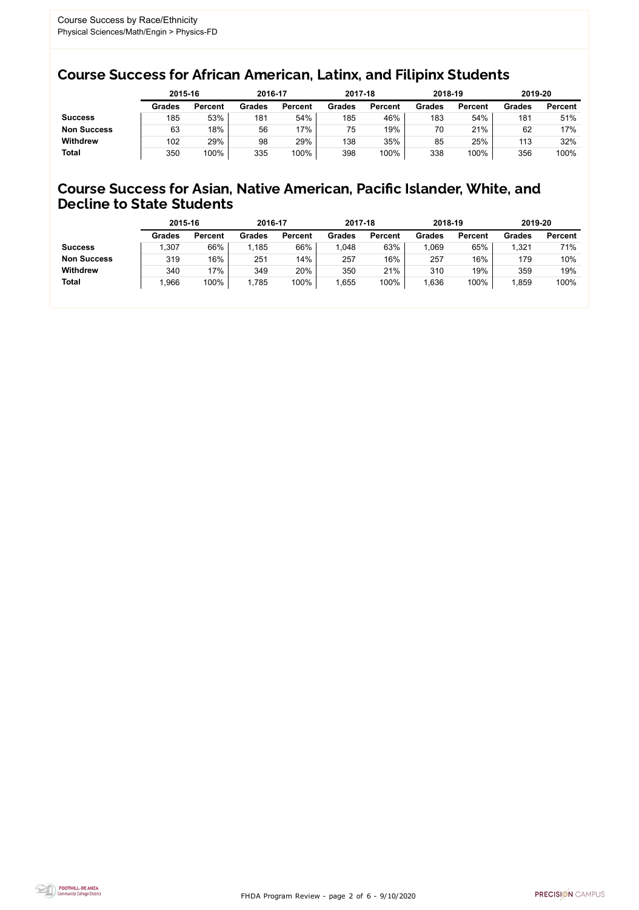FHDA Program Review - page 2 of 6 - 9/10/2020



### Course Success for African American, Latinx, and Filipinx Students

### Course Success for Asian, Native American, Pacific Islander, White, and Decline to State Students

|                    |        | 2015-16        |               | 2016-17        |               | 2017-18        | 2018-19       |                | 2019-20       |                |
|--------------------|--------|----------------|---------------|----------------|---------------|----------------|---------------|----------------|---------------|----------------|
|                    | Grades | <b>Percent</b> | <b>Grades</b> | <b>Percent</b> | <b>Grades</b> | <b>Percent</b> | <b>Grades</b> | <b>Percent</b> | <b>Grades</b> | <b>Percent</b> |
| <b>Success</b>     | 185    | 53%            | 181           | 54%            | 185           | 46%            | 183           | 54%            | 181           | 51%            |
| <b>Non Success</b> | 63     | 18%            | 56            | 17%            | 75            | 19%            | 70            | 21%            | 62            | 17%            |
| <b>Withdrew</b>    | 102    | 29%            | 98            | 29%            | 138           | 35%            | 85            | 25%            | 113           | 32%            |
| <b>Total</b>       | 350    | 100%           | 335           | 100%           | 398           | 100%           | 338           | 100%           | 356           | 100%           |

|                    | 2015-16       |                | 2016-17       |                | 2017-18       |                | 2018-19       |                | 2019-20 |                |
|--------------------|---------------|----------------|---------------|----------------|---------------|----------------|---------------|----------------|---------|----------------|
|                    | <b>Grades</b> | <b>Percent</b> | <b>Grades</b> | <b>Percent</b> | <b>Grades</b> | <b>Percent</b> | <b>Grades</b> | <b>Percent</b> | Grades  | <b>Percent</b> |
| <b>Success</b>     | ,307          | 66%            | 1,185         | 66%            | 1,048         | 63%            | .069          | 65%            | 1,321   | 71%            |
| <b>Non Success</b> | 319           | 16%            | 251           | 14%            | 257           | 16%            | 257           | 16%            | 179     | 10%            |
| <b>Withdrew</b>    | 340           | 17%            | 349           | 20%            | 350           | 21%            | 310           | 19%            | 359     | 19%            |
| <b>Total</b>       | ,966          | 100%           | 1,785         | 100%           | ,655          | 100%           | ,636          | 100%           | ,859    | 100%           |
|                    |               |                |               |                |               |                |               |                |         |                |

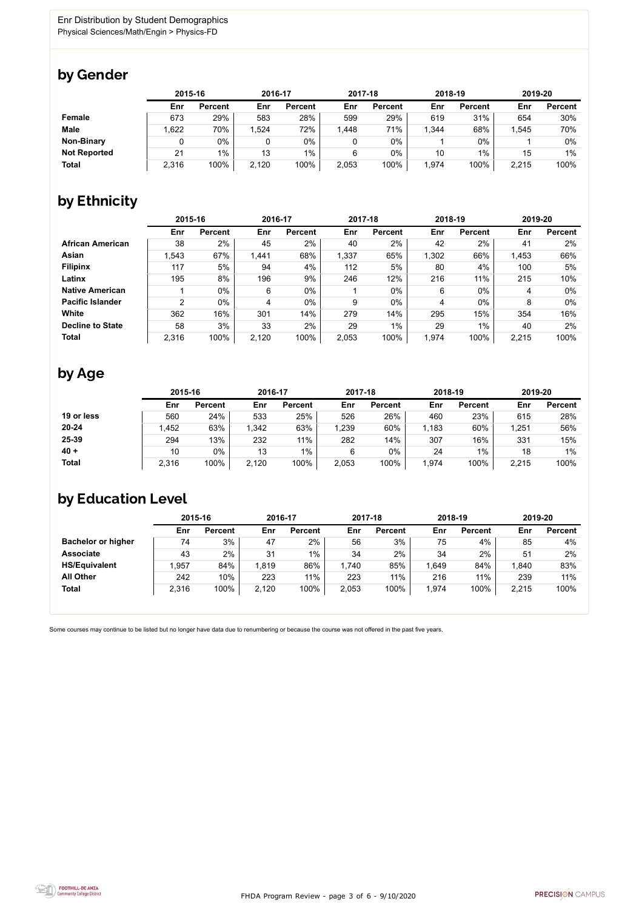FHDA Program Review - page 3 of 6 - 9/10/2020



Some courses may continue to be listed but no longer have data due to renumbering or because the course was not offered in the past five years.



### by Gender

|                     | 2015-16 |                |       | 2016-17        |       | 2017-18        |        | 2018-19        |       | 2019-20        |  |
|---------------------|---------|----------------|-------|----------------|-------|----------------|--------|----------------|-------|----------------|--|
|                     | Enr     | <b>Percent</b> | Enr   | <b>Percent</b> | Enr   | <b>Percent</b> | Enr    | <b>Percent</b> | Enr   | <b>Percent</b> |  |
| <b>Female</b>       | 673     | 29%            | 583   | 28%            | 599   | 29%            | 619    | 31%            | 654   | 30%            |  |
| <b>Male</b>         | .622    | 70%            | .524  | 72%            | 1,448 | 71%            | 344, ا | 68%            | 1,545 | 70%            |  |
| <b>Non-Binary</b>   |         | 0%             |       | $0\%$          |       | 0%             |        | $0\%$          |       | 0%             |  |
| <b>Not Reported</b> | 21      | 1%             | 13    | $1\%$          | 6     | $0\%$          | 10     | 1%             | 15    | $1\%$          |  |
| <b>Total</b>        | 2,316   | 100%           | 2,120 | 100%           | 2,053 | 100%           | 1,974  | 100%           | 2,215 | 100%           |  |

# by Ethnicity

|                         |       | 2015-16        |       | 2016-17        |       | 2017-18        | 2018-19 |                | 2019-20 |                |
|-------------------------|-------|----------------|-------|----------------|-------|----------------|---------|----------------|---------|----------------|
|                         | Enr   | <b>Percent</b> | Enr   | <b>Percent</b> | Enr   | <b>Percent</b> | Enr     | <b>Percent</b> | Enr     | <b>Percent</b> |
| <b>African American</b> | 38    | 2%             | 45    | 2%             | 40    | 2%             | 42      | 2%             | 41      | 2%             |
| <b>Asian</b>            | 1,543 | 67%            | 1,441 | 68%            | 1,337 | 65%            | 1,302   | 66%            | 1,453   | 66%            |
| <b>Filipinx</b>         | 117   | 5%             | 94    | 4%             | 112   | 5%             | 80      | 4%             | 100     | 5%             |
| Latinx                  | 195   | 8%             | 196   | 9%             | 246   | 12%            | 216     | 11%            | 215     | 10%            |
| <b>Native American</b>  |       | $0\%$          | 6     | $0\%$          |       | $0\%$          | 6       | $0\%$          | 4       | $0\%$          |
| <b>Pacific Islander</b> | っ     | $0\%$          | 4     | $0\%$          | 9     | $0\%$          | 4       | $0\%$          | 8       | 0%             |
| White                   | 362   | 16%            | 301   | 14%            | 279   | 14%            | 295     | 15%            | 354     | 16%            |
| <b>Decline to State</b> | 58    | 3%             | 33    | 2%             | 29    | $1\%$          | 29      | 1%             | 40      | 2%             |
| <b>Total</b>            | 2,316 | 100%           | 2,120 | 100%           | 2,053 | 100%           | 1,974   | 100%           | 2,215   | 100%           |

### by Age

|              | 2015-16 |                | 2016-17 |                | 2017-18 |                | 2018-19 |                | 2019-20 |                |
|--------------|---------|----------------|---------|----------------|---------|----------------|---------|----------------|---------|----------------|
|              | Enr     | <b>Percent</b> | Enr     | <b>Percent</b> | Enr     | <b>Percent</b> | Enr     | <b>Percent</b> | Enr     | <b>Percent</b> |
| 19 or less   | 560     | 24%            | 533     | 25%            | 526     | 26%            | 460     | 23%            | 615     | 28%            |
| $20 - 24$    | .452    | 63%            | 1,342   | 63%            | 1,239   | 60%            | 1,183   | 60%            | 1,251   | 56%            |
| 25-39        | 294     | 13%            | 232     | 11%            | 282     | 14%            | 307     | 16%            | 331     | 15%            |
| $40 +$       | 10      | $0\%$          | 13      | $1\%$          | 6       | $0\%$          | 24      | $1\%$          | 18      | $1\%$          |
| <b>Total</b> | 2,316   | 100%           | 2,120   | 100%           | 2,053   | 100%           | ,974    | 100%           | 2,215   | 100%           |

# by Education Level

|                           | 2015-16 |                |       | 2016-17        |       | 2017-18        | 2018-19 |                | 2019-20 |                |
|---------------------------|---------|----------------|-------|----------------|-------|----------------|---------|----------------|---------|----------------|
|                           | Enr     | <b>Percent</b> | Enr   | <b>Percent</b> | Enr   | <b>Percent</b> | Enr     | <b>Percent</b> | Enr     | <b>Percent</b> |
| <b>Bachelor or higher</b> | 74      | 3%             | 47    | 2%             | 56    | 3%             | 75      | 4%             | 85      | 4%             |
| <b>Associate</b>          | 43      | 2%             | 31    | $1\%$          | 34    | 2%             | 34      | 2%             | 51      | 2%             |
| <b>HS/Equivalent</b>      | 1.957   | 84%            | 1,819 | 86%            | .740  | 85%            | .649    | 84%            | 1,840   | 83%            |
| <b>All Other</b>          | 242     | 10%            | 223   | 11%            | 223   | 11%            | 216     | 11%            | 239     | 11%            |
| <b>Total</b>              | 2,316   | 100%           | 2,120 | 100%           | 2,053 | 100%           | 1,974   | 100%           | 2,215   | 100%           |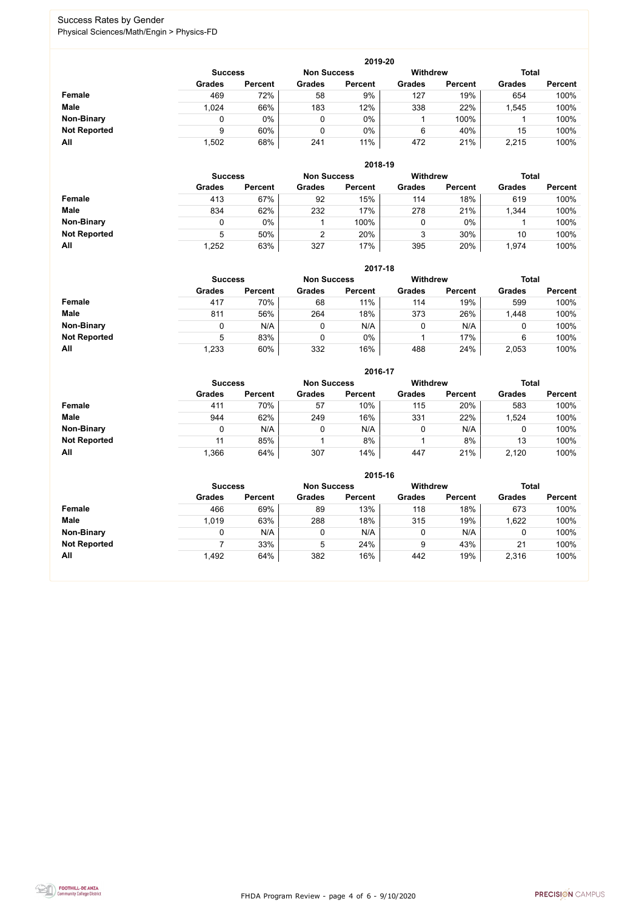FHDA Program Review - page 4 of 6 - 9/10/2020



### Success Rates by Gender Physical Sciences/Math/Engin > Physics-FD

|                     | 2019-20        |                |                    |                |                 |                |               |                |  |  |  |  |  |
|---------------------|----------------|----------------|--------------------|----------------|-----------------|----------------|---------------|----------------|--|--|--|--|--|
|                     | <b>Success</b> |                | <b>Non Success</b> |                | <b>Withdrew</b> |                | <b>Total</b>  |                |  |  |  |  |  |
|                     | <b>Grades</b>  | <b>Percent</b> | <b>Grades</b>      | <b>Percent</b> | <b>Grades</b>   | <b>Percent</b> | <b>Grades</b> | <b>Percent</b> |  |  |  |  |  |
| <b>Female</b>       | 469            | 72%            | 58                 | 9%             | 127             | 19%            | 654           | 100%           |  |  |  |  |  |
| <b>Male</b>         | 1,024          | 66%            | 183                | 12%            | 338             | 22%            | ,545          | 100%           |  |  |  |  |  |
| <b>Non-Binary</b>   | 0              | $0\%$          |                    | 0%             |                 | 100%           |               | 100%           |  |  |  |  |  |
| <b>Not Reported</b> | 9              | 60%            |                    | $0\%$          | 6               | 40%            | 15            | 100%           |  |  |  |  |  |
| All                 | ,502           | 68%            | 241                | 11%            | 472             | 21%            | 2,215         | 100%           |  |  |  |  |  |

|                     |               | 2018-19                              |               |                |               |                 |               |                |  |  |  |  |  |
|---------------------|---------------|--------------------------------------|---------------|----------------|---------------|-----------------|---------------|----------------|--|--|--|--|--|
|                     |               | <b>Non Success</b><br><b>Success</b> |               |                |               | <b>Withdrew</b> | <b>Total</b>  |                |  |  |  |  |  |
|                     | <b>Grades</b> | <b>Percent</b>                       | <b>Grades</b> | <b>Percent</b> | <b>Grades</b> | <b>Percent</b>  | <b>Grades</b> | <b>Percent</b> |  |  |  |  |  |
| Female              | 413           | 67%                                  | 92            | 15%            | 114           | 18%             | 619           | 100%           |  |  |  |  |  |
| <b>Male</b>         | 834           | 62%                                  | 232           | 17%            | 278           | 21%             | 1,344         | 100%           |  |  |  |  |  |
| <b>Non-Binary</b>   |               | $0\%$                                |               | 100%           | 0             | $0\%$           |               | 100%           |  |  |  |  |  |
| <b>Not Reported</b> | 5             | 50%                                  | ⌒             | 20%            | 3             | 30%             | 10            | 100%           |  |  |  |  |  |
| All                 | 1,252         | 63%                                  | 327           | 17%            | 395           | 20%             | 1,974         | 100%           |  |  |  |  |  |

|                     |               | 2017-18                                                                 |               |                |               |                |               |                |  |  |  |  |  |
|---------------------|---------------|-------------------------------------------------------------------------|---------------|----------------|---------------|----------------|---------------|----------------|--|--|--|--|--|
|                     |               | <b>Withdrew</b><br><b>Total</b><br><b>Non Success</b><br><b>Success</b> |               |                |               |                |               |                |  |  |  |  |  |
|                     | <b>Grades</b> | <b>Percent</b>                                                          | <b>Grades</b> | <b>Percent</b> | <b>Grades</b> | <b>Percent</b> | <b>Grades</b> | <b>Percent</b> |  |  |  |  |  |
| <b>Female</b>       | 417           | 70%                                                                     | 68            | 11%            | 114           | 19%            | 599           | 100%           |  |  |  |  |  |
| <b>Male</b>         | 811           | 56%                                                                     | 264           | 18%            | 373           | 26%            | 1,448         | 100%           |  |  |  |  |  |
| <b>Non-Binary</b>   | 0             | N/A                                                                     |               | N/A            | 0             | N/A            | υ             | 100%           |  |  |  |  |  |
| <b>Not Reported</b> | 5             | 83%                                                                     |               | 0%             |               | 17%            | 6             | 100%           |  |  |  |  |  |
| All                 | 1,233         | 60%                                                                     | 332           | 16%            | 488           | 24%            | 2,053         | 100%           |  |  |  |  |  |

|                     |               | 2016-17        |               |                |               |                                 |               |                |  |  |
|---------------------|---------------|----------------|---------------|----------------|---------------|---------------------------------|---------------|----------------|--|--|
|                     |               | <b>Success</b> |               |                |               | <b>Withdrew</b><br><b>Total</b> |               |                |  |  |
|                     | <b>Grades</b> | <b>Percent</b> | <b>Grades</b> | <b>Percent</b> | <b>Grades</b> | <b>Percent</b>                  | <b>Grades</b> | <b>Percent</b> |  |  |
| <b>Female</b>       | 411           | 70%            | 57            | 10%            | 115           | 20%                             | 583           | 100%           |  |  |
| <b>Male</b>         | 944           | 62%            | 249           | 16%            | 331           | 22%                             | 1,524         | 100%           |  |  |
| <b>Non-Binary</b>   | 0             | N/A            |               | N/A            | 0             | N/A                             | 0             | 100%           |  |  |
| <b>Not Reported</b> | 11            | 85%            |               | 8%             |               | 8%                              | 13            | 100%           |  |  |
| All                 | 1,366         | 64%            | 307           | 14%            | 447           | 21%                             | 2,120         | 100%           |  |  |

|                     |                | 2015-16            |               |                 |               |                |               |                |  |  |
|---------------------|----------------|--------------------|---------------|-----------------|---------------|----------------|---------------|----------------|--|--|
|                     | <b>Success</b> | <b>Non Success</b> |               | <b>Withdrew</b> |               | <b>Total</b>   |               |                |  |  |
|                     | <b>Grades</b>  | <b>Percent</b>     | <b>Grades</b> | <b>Percent</b>  | <b>Grades</b> | <b>Percent</b> | <b>Grades</b> | <b>Percent</b> |  |  |
| Female              | 466            | 69%                | 89            | 13%             | 118           | 18%            | 673           | 100%           |  |  |
| <b>Male</b>         | 1,019          | 63%                | 288           | 18%             | 315           | 19%            | 1,622         | 100%           |  |  |
| <b>Non-Binary</b>   |                | N/A                | 0             | N/A             |               | N/A            |               | 100%           |  |  |
| <b>Not Reported</b> |                | 33%                | 5             | 24%             | 9             | 43%            | 21            | 100%           |  |  |
| All                 | 1,492          | 64%                | 382           | 16%             | 442           | 19%            | 2,316         | 100%           |  |  |

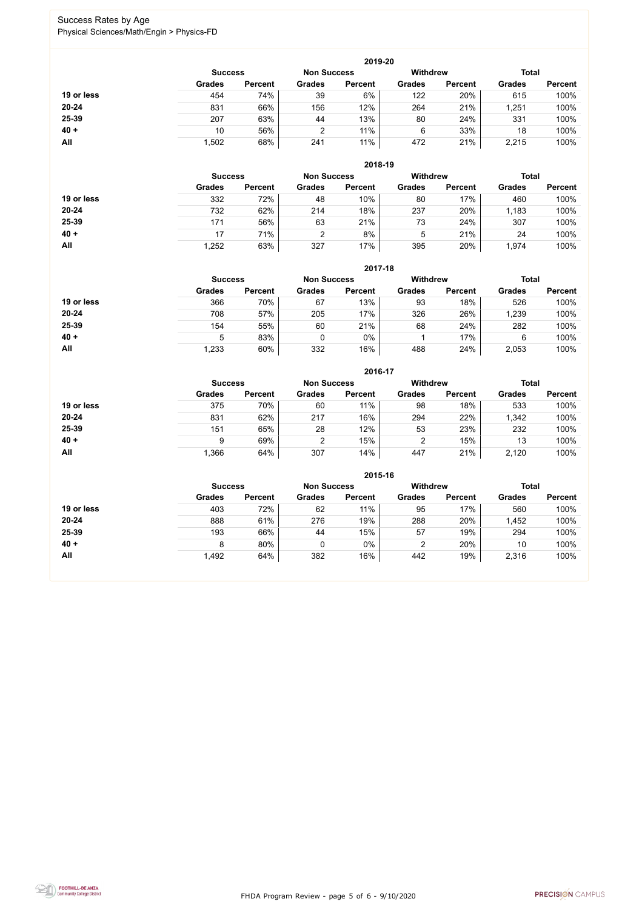FHDA Program Review - page 5 of 6 - 9/10/2020



### Success Rates by Age Physical Sciences/Math/Engin > Physics-FD

|            | 2019-20        |                    |               |                |                                 |                |               |                |  |
|------------|----------------|--------------------|---------------|----------------|---------------------------------|----------------|---------------|----------------|--|
|            | <b>Success</b> | <b>Non Success</b> |               |                | <b>Total</b><br><b>Withdrew</b> |                |               |                |  |
|            | <b>Grades</b>  | <b>Percent</b>     | <b>Grades</b> | <b>Percent</b> | <b>Grades</b>                   | <b>Percent</b> | <b>Grades</b> | <b>Percent</b> |  |
| 19 or less | 454            | 74%                | 39            | 6%             | 122                             | 20%            | 615           | 100%           |  |
| $20 - 24$  | 831            | 66%                | 156           | 12%            | 264                             | 21%            | 1,251         | 100%           |  |
| 25-39      | 207            | 63%                | 44            | 13%            | 80                              | 24%            | 331           | 100%           |  |
| $40 +$     | 10             | 56%                | 2             | 11%            | 6                               | 33%            | 18            | 100%           |  |
| All        | 1,502          | 68%                | 241           | 11%            | 472                             | 21%            | 2,215         | 100%           |  |

|            | 2018-19        |                |               |                    |                 |                |               |                |  |
|------------|----------------|----------------|---------------|--------------------|-----------------|----------------|---------------|----------------|--|
|            | <b>Success</b> |                |               | <b>Non Success</b> | <b>Withdrew</b> |                | <b>Total</b>  |                |  |
|            | <b>Grades</b>  | <b>Percent</b> | <b>Grades</b> | <b>Percent</b>     | <b>Grades</b>   | <b>Percent</b> | <b>Grades</b> | <b>Percent</b> |  |
| 19 or less | 332            | 72%            | 48            | 10%                | 80              | 17%            | 460           | 100%           |  |
| $20 - 24$  | 732            | 62%            | 214           | 18%                | 237             | 20%            | 1,183         | 100%           |  |
| 25-39      | 171            | 56%            | 63            | 21%                | 73              | 24%            | 307           | 100%           |  |
| $40 +$     | 17             | 71%            |               | 8%                 | 5               | 21%            | 24            | 100%           |  |
| All        | .252           | 63%            | 327           | 17%                | 395             | 20%            | 1,974         | 100%           |  |

|            | 2017-18        |                    |               |                 |               |                |               |                |  |
|------------|----------------|--------------------|---------------|-----------------|---------------|----------------|---------------|----------------|--|
|            | <b>Success</b> | <b>Non Success</b> |               | <b>Withdrew</b> |               | <b>Total</b>   |               |                |  |
|            | <b>Grades</b>  | <b>Percent</b>     | <b>Grades</b> | <b>Percent</b>  | <b>Grades</b> | <b>Percent</b> | <b>Grades</b> | <b>Percent</b> |  |
| 19 or less | 366            | 70%                | 67            | 13%             | 93            | 18%            | 526           | 100%           |  |
| $20 - 24$  | 708            | 57%                | 205           | 17%             | 326           | 26%            | ,239          | 100%           |  |
| 25-39      | 154            | 55%                | 60            | 21%             | 68            | 24%            | 282           | 100%           |  |
| $40 +$     | 5              | 83%                |               | 0%              |               | 17%            | 6             | 100%           |  |
| All        | 1,233          | 60%                | 332           | 16%             | 488           | 24%            | 2,053         | 100%           |  |

|            | 2016-17        |                |               |                    |                 |                |               |                |  |
|------------|----------------|----------------|---------------|--------------------|-----------------|----------------|---------------|----------------|--|
|            | <b>Success</b> |                |               | <b>Non Success</b> | <b>Withdrew</b> |                | <b>Total</b>  |                |  |
|            | <b>Grades</b>  | <b>Percent</b> | <b>Grades</b> | <b>Percent</b>     | <b>Grades</b>   | <b>Percent</b> | <b>Grades</b> | <b>Percent</b> |  |
| 19 or less | 375            | 70%            | 60            | 11%                | 98              | 18%            | 533           | 100%           |  |
| $20 - 24$  | 831            | 62%            | 217           | 16%                | 294             | 22%            | 1,342         | 100%           |  |
| 25-39      | 151            | 65%            | 28            | 12%                | 53              | 23%            | 232           | 100%           |  |
| $40 +$     | 9              | 69%            | 2             | 15%                |                 | 15%            | 13            | 100%           |  |
| All        | .366           | 64%            | 307           | 14%                | 447             | 21%            | 2,120         | 100%           |  |

|            | 2015-16        |                |               |                    |                 |                |               |                |  |
|------------|----------------|----------------|---------------|--------------------|-----------------|----------------|---------------|----------------|--|
|            | <b>Success</b> |                |               | <b>Non Success</b> | <b>Withdrew</b> |                | <b>Total</b>  |                |  |
|            | <b>Grades</b>  | <b>Percent</b> | <b>Grades</b> | <b>Percent</b>     | <b>Grades</b>   | <b>Percent</b> | <b>Grades</b> | <b>Percent</b> |  |
| 19 or less | 403            | 72%            | 62            | 11%                | 95              | 17%            | 560           | 100%           |  |
| $20 - 24$  | 888            | 61%            | 276           | 19%                | 288             | 20%            | 1,452         | 100%           |  |
| 25-39      | 193            | 66%            | 44            | 15%                | 57              | 19%            | 294           | 100%           |  |
| $40 +$     | 8              | 80%            |               | 0%                 |                 | 20%            | 10            | 100%           |  |
| All        | 1,492          | 64%            | 382           | 16%                | 442             | 19%            | 2,316         | 100%           |  |